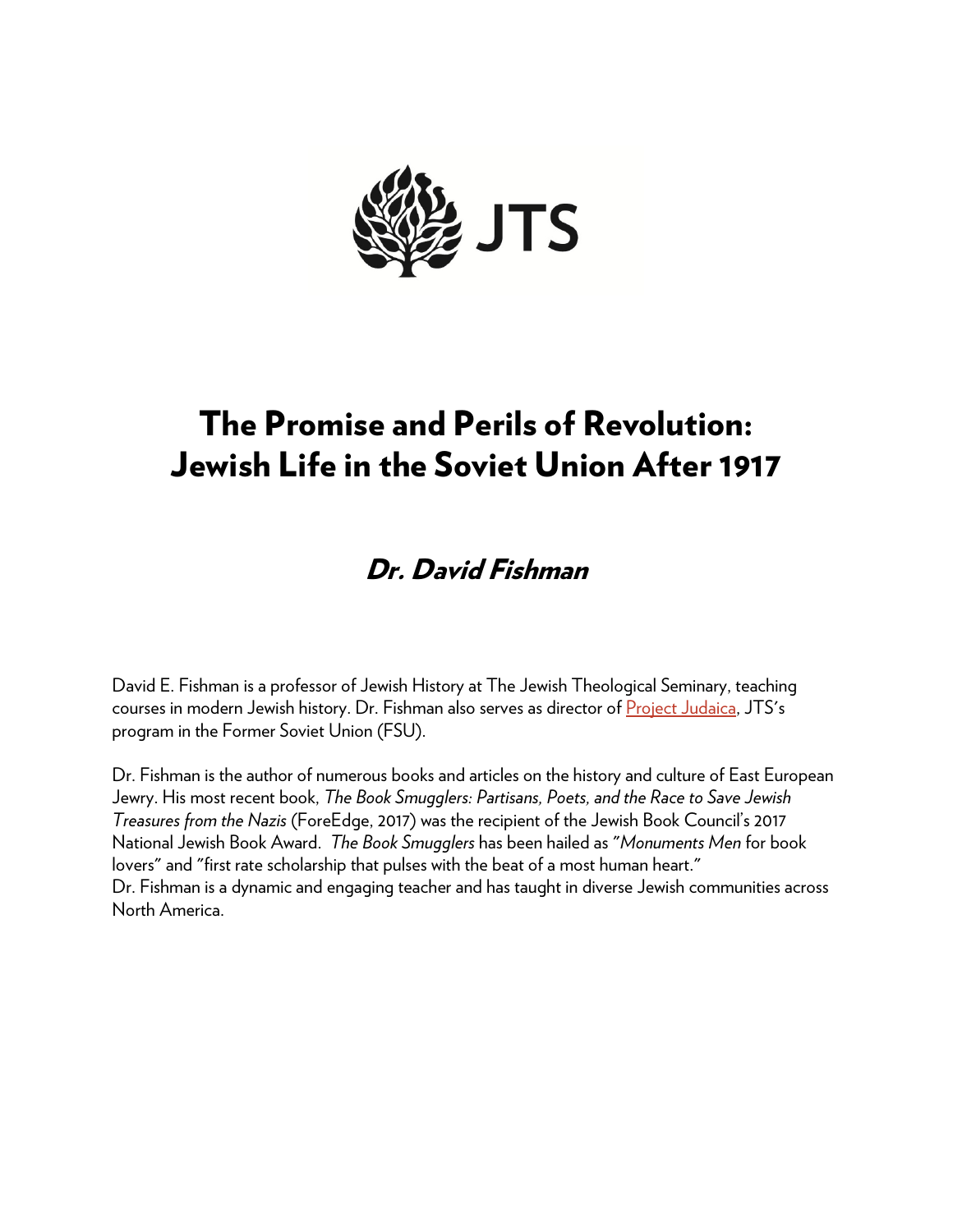

# The Promise and Perils of Revolution: Jewish Life in the Soviet Union After 1917

## Dr. David Fishman

David E. Fishman is a professor of Jewish History at The Jewish Theological Seminary, teaching courses in modern Jewish history. Dr. Fishman also serves as director of [Project Judaica,](http://www.jtsa.edu/project-judaica) JTS's program in the Former Soviet Union (FSU).

Dr. Fishman is the author of numerous books and articles on the history and culture of East European Jewry. His most recent book, *The Book Smugglers: Partisans, Poets, and the Race to Save Jewish Treasures from the Nazis* (ForeEdge, 2017) was the recipient of the Jewish Book Council's 2017 National Jewish Book Award. *The Book Smugglers* has been hailed as "*Monuments Men* for book lovers" and "first rate scholarship that pulses with the beat of a most human heart." Dr. Fishman is a dynamic and engaging teacher and has taught in diverse Jewish communities across North America.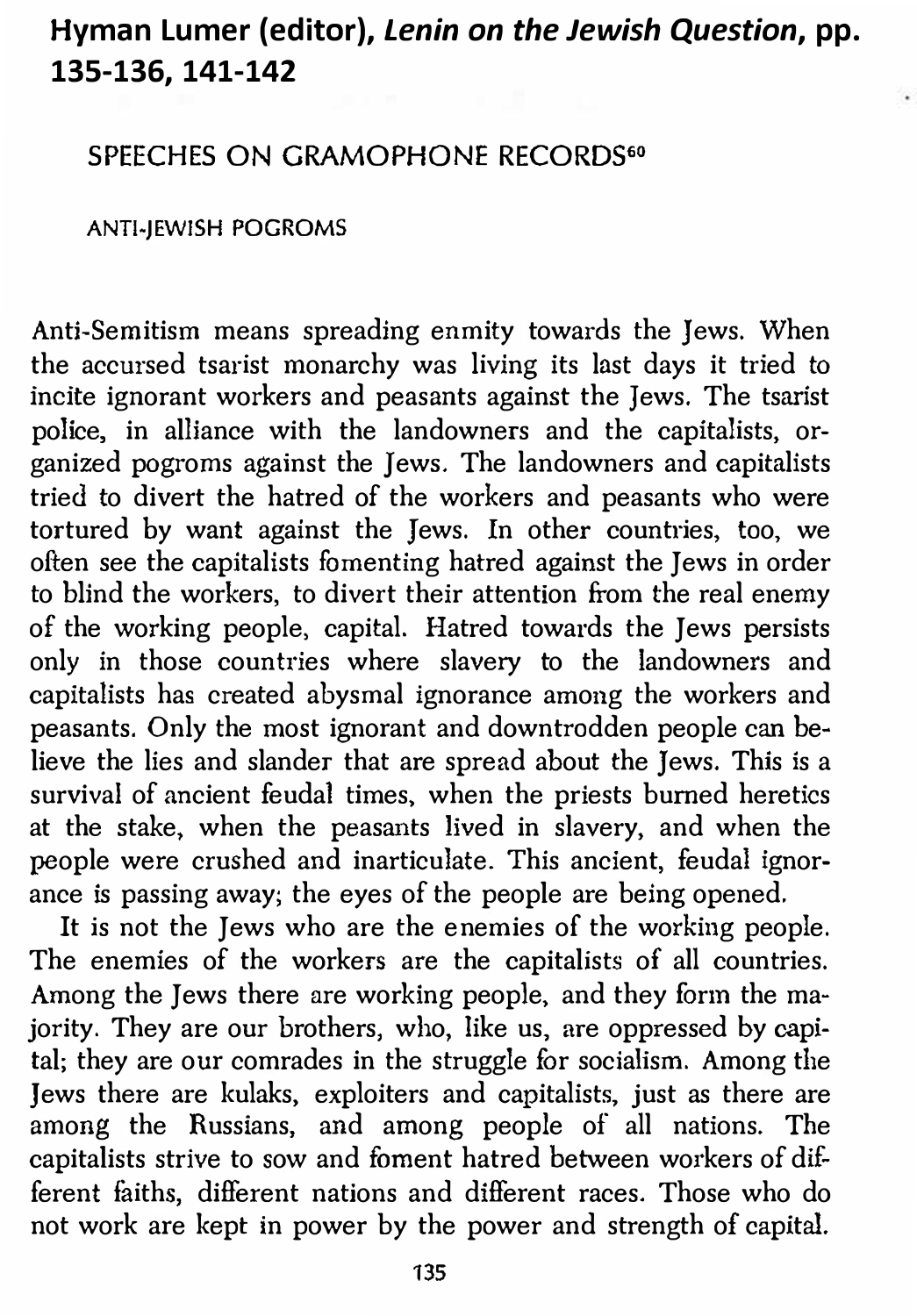#### H**yman Lumer (editor),** *Lenin on the Jewish Question***, pp. 135-136, 141-142**

#### SPEECHES ON GRAMOPHONE RECORDS<sup>60</sup>

#### ANTI-JEWISH POGROMS

Anti-Semitism means spreading enmity towards the Jews. When the accursed tsarist monarchy was living its last days it tried to incite ignorant workers and peasants against the Jews. The tsarist police, in alliance with the landowners and the capitalists, organized pogroms against the Jews. The landowners and capitalists tried to divert the hatred of the workers and peasants who were tortured hy want against the Jews. In other countries, too, we often see the capitalists fomenting hatred against the Jews in order to blind the workers, to divert their attention from the real enemy of the working people, capital. Hatred towards the Jews persists only in those countries where slavery to the landowners and capitalists has created abysmal ignorance among the workers and peasants. Only the most ignorant and downtrodden people can believe the lies and slander that are spread about the Jews. This is a survival of ancient feudal times, when the priests burned heretics at the stake, when the peasants lived in slavery, and when the people were crushed and inarticulate. This ancient, feudal ignorance is passing away; the eyes of the people are being opened.

It is not the Jews who are the enemies of the working people. The enemies of the workers are the capitalists of all countries. Among the Jews there are working people, and they form the majority. They are our brothers, who, like us, are oppressed by capital; they are our comrades in the struggle for socialism. Among the Jews there are kulaks, exploiters and capitalists, just as there are among the Russians, and among people of all nations. The capitalists strive to sow and foment hatred between workers of different faiths, different nations and different races. Those who do not work are kept in power by the power and strength of capital.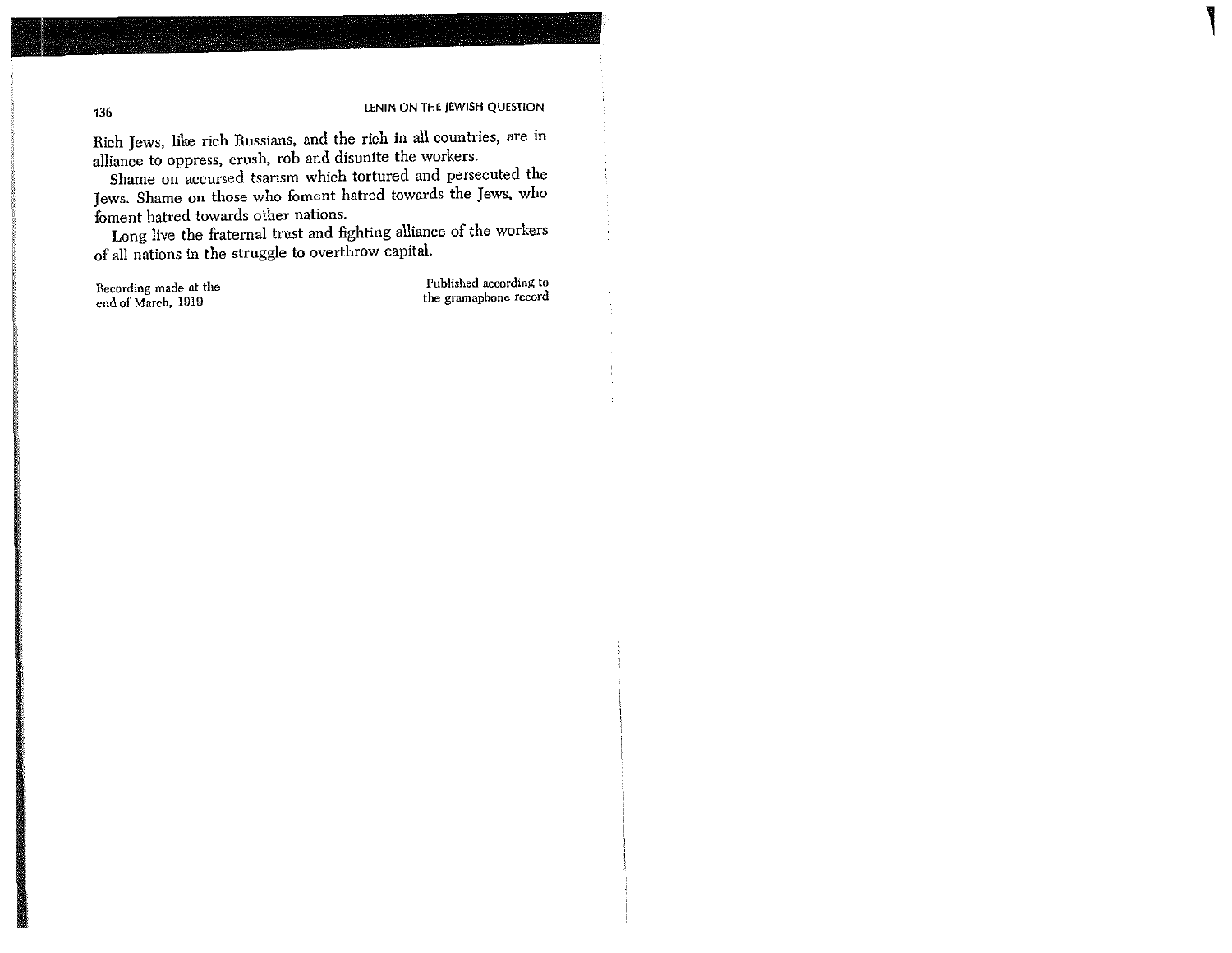Rich Jews, like rich Russians, and the rich in all countries, are in alliance to oppress, crush, rob and disunite the workers.

Shame on accursed tsarism which tortured and persecuted the Jews. Shame on those who foment hatred towards the Jews. who foment hatred towards other nations.

Long live the fraternal trust and fighting alliance of the workers of all nations in the struggle to overthrow capital.

Recording made at the end of March, 1919

Published according to the gramaphone record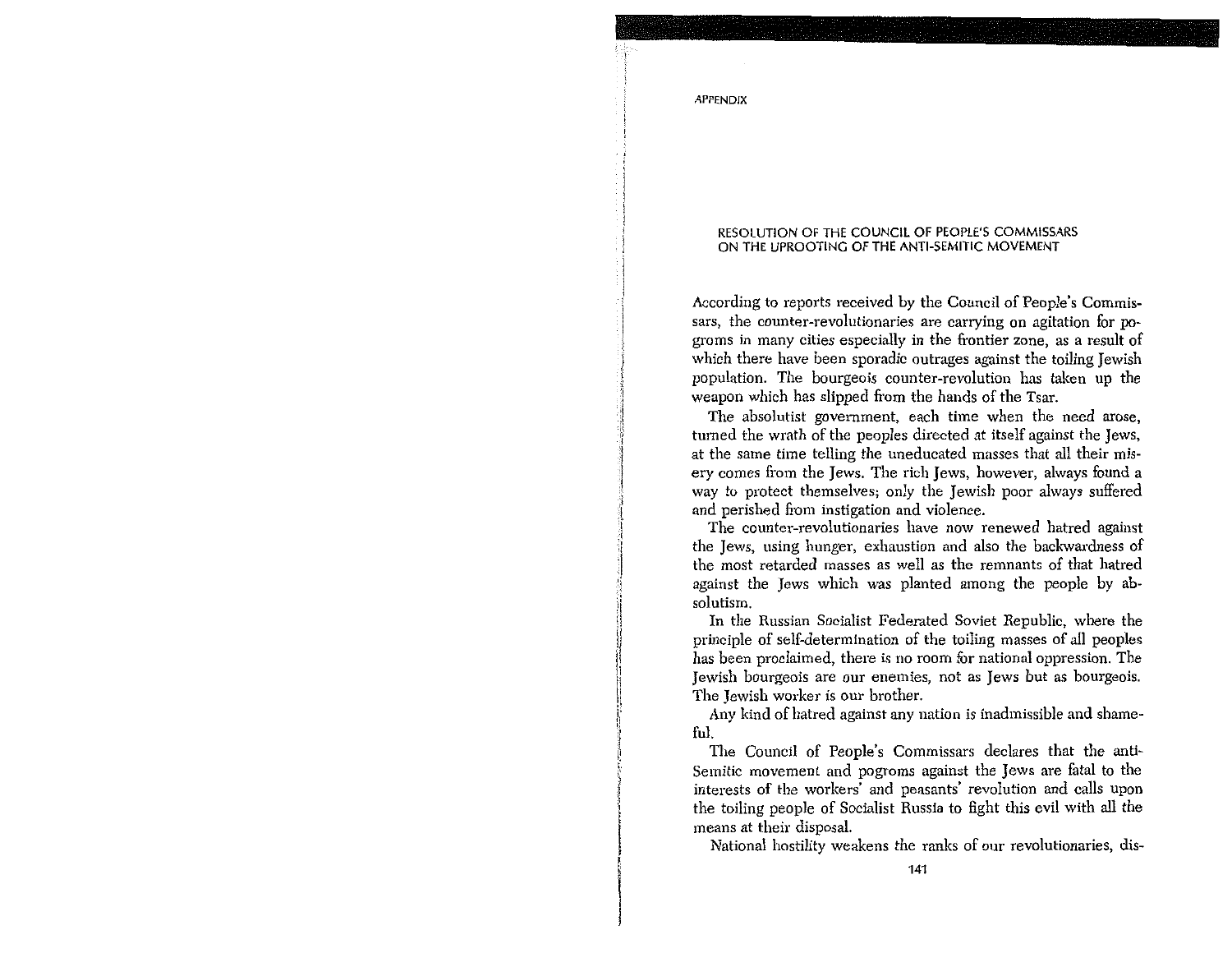#### RESOLUTION OF THE COUNCIL OF PEOPLE'S COMMISSARS ON THE UPROOTING OF THE ANTI-SEMITIC MOVEMENT

According to reports received by the Council of People's Commissars, the counter-revolutionaries are carrying on agitation for pogroms in many cities especially in the frontier zone, as a result of which there have been sporadic outrages against the toiling Jewish population. The bourgeois counter-revolution has taken up the weapon which has slipped from the hands of the Tsar.

The absolutist government, each time when the need arose, turned the wrath of the peoples directed at itself against the Jews. at the same time telling the uneducated masses that all their miserv comes from the Jews. The rich Jews, however, always found a way to protect themselves; only the Jewish poor always suffered and perished from instigation and violence.

The counter-revolutionaries have now renewed hatred against the Jews, using hunger, exhaustion and also the backwardness of the most retarded masses as well as the remnants of that hatred against the Jews which was planted among the people by absolutism

In the Russian Socialist Federated Soviet Republic, where the principle of self-determination of the toiling masses of all peoples has been proclaimed, there is no room for national oppression. The Jewish bourgeois are our enemies, not as Jews but as bourgeois. The Jewish worker is our brother.

Any kind of hatred against any nation is inadmissible and shameքոե

The Council of People's Commissars declares that the anti-Semitic movement and pogroms against the Jews are fatal to the interests of the workers' and peasants' revolution and calls upon the toiling people of Socialist Russia to fight this evil with all the means at their disposal.

National hostility weakens the ranks of our revolutionaries, dis-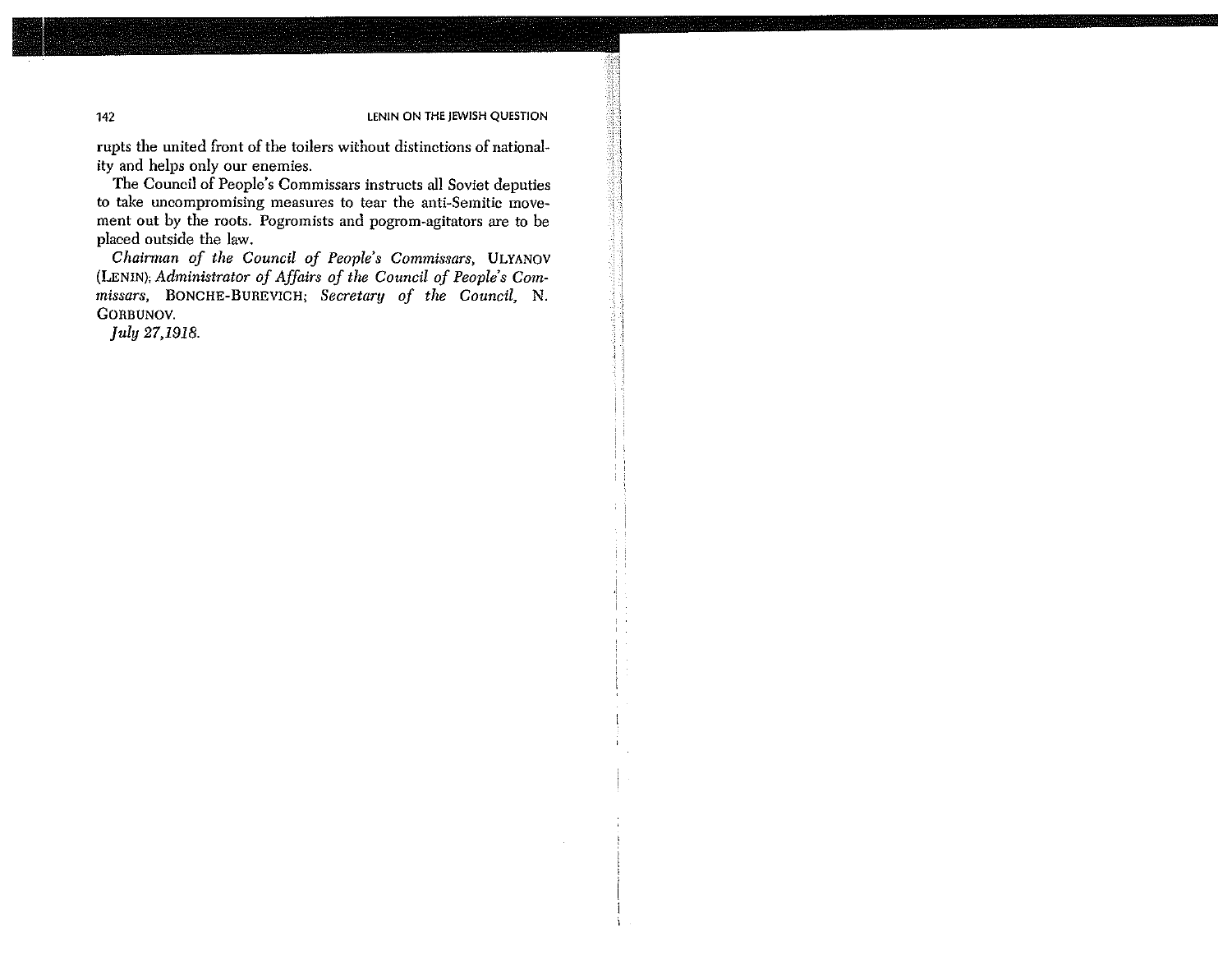rupts the united front of the toilers without distinctions of nationality and helps only our enemies.

The Council of People's Commissars instructs all Soviet deputies to take uncompromising measures to tear the anti-Semitic movement out by the roots. Pogromists and pogrom-agitators are to be placed outside the law.

Chairman of the Council of People's Commissars, ULYANOV (LENIN); Administrator of Affairs of the Council of People's Commissars. BONCHE-BUREVICH: Secretary of the Council N. **GOBBIJNOV** 

July 27,1918.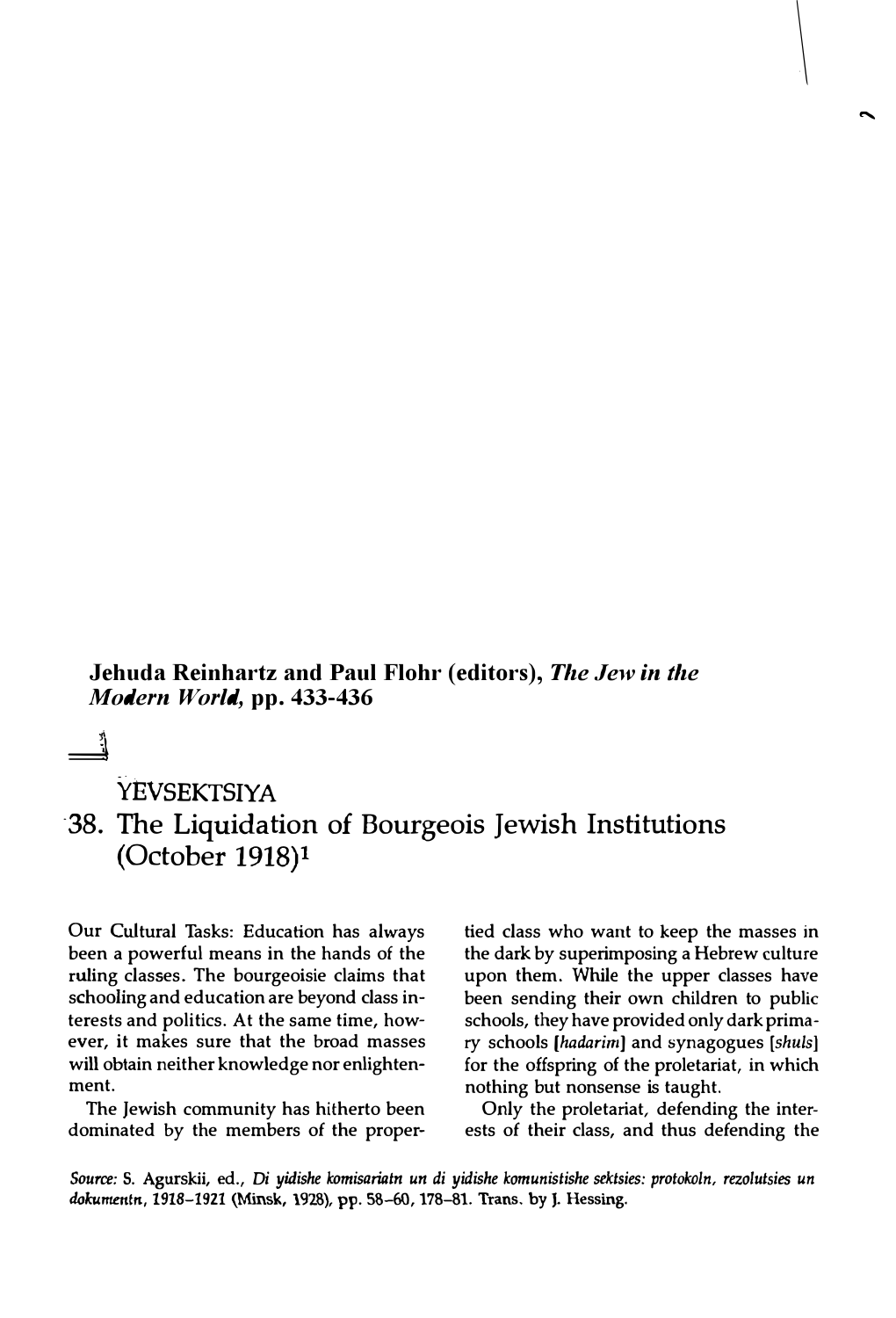**Jehuda Reinhartz and Paul Flohr (editors),** *The Jew in the Modern World,* **pp. 433-436**

 $\frac{1}{2}$ 

## **YEVSEKTSIYA**

### 38. The Liquidation of Bourgeois Jewish Institutions (October 1918)1

Our Cultural Tasks: Education has always been a powerful means in the hands of the ruling classes. The bourgeoisie claims that schooling and education are beyond class interests and politics. At the same time, however, it makes sure that the broad masses will obtain neither knowledge nor enlightenment.

The Jewish community has hitherto been dominated by the members of the proper-

tied class who want to keep the masses in the dark by superimposing a Hebrew culture upon them. While the upper classes have been sending their own children to public schools, they have provided only dark primary schools *[hadarimJ* and synagogues *[shuls]*  for the offspring of the proletariat, in which nothing but nonsense is taught.

Only the proletariat, defending the interests of their class, and thus defending the

*Source:* S. Agurskii, ed., Di *yidishe komisariatn un di yidishe komunistishe sektsies: protokoln, rezolutsies un*  dokumentn, **1918-1921 (Minsk, 192S),** pp. **SS--60, 178-81. Trans.** by J. **Hessing.**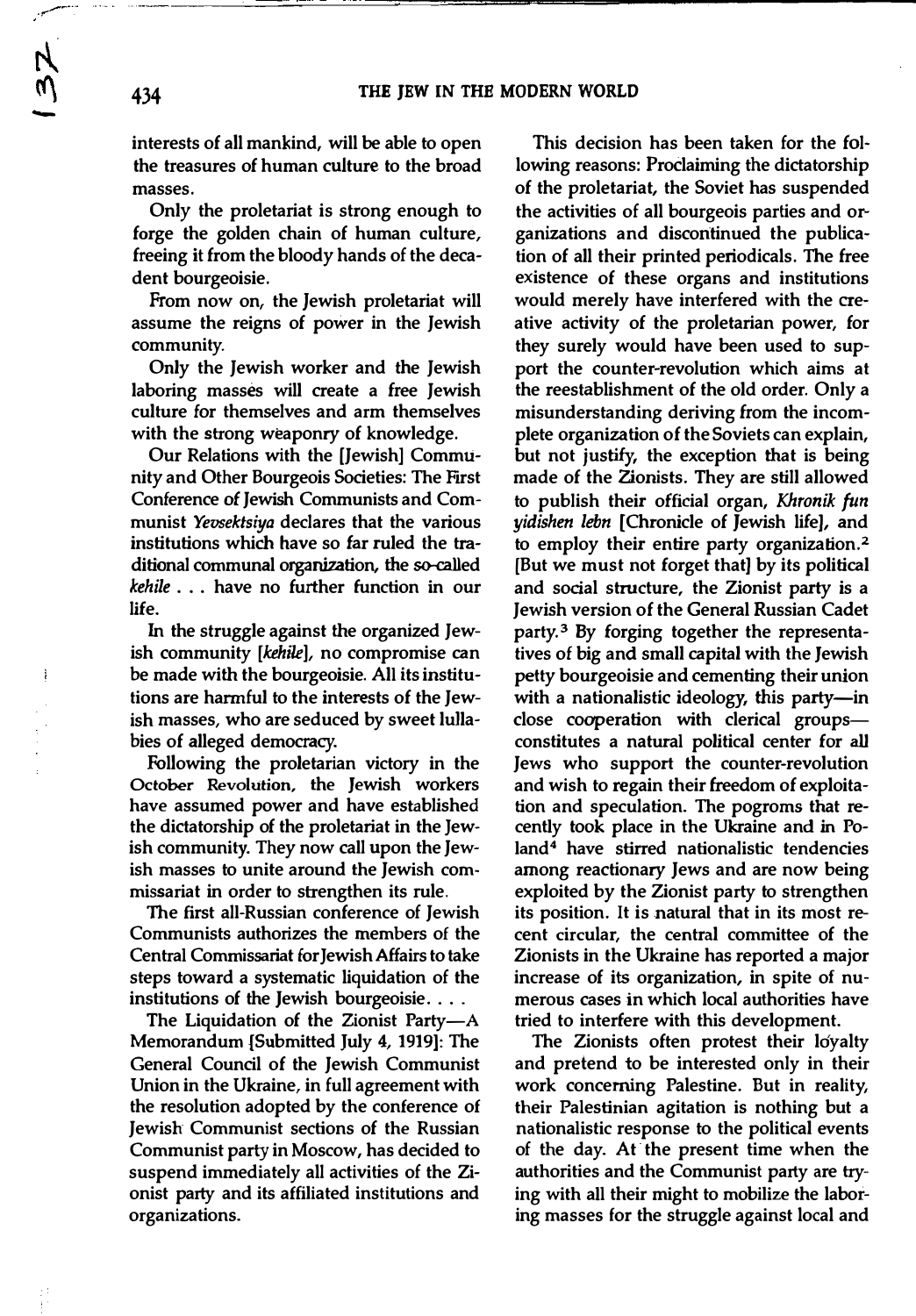**interests of all mankind, will be able to open the treasures of human culture to the broad masses.** 

**Only the proletariat is strong enough to forge the golden chain of human culture, freeing** it **from the bloody hands of the decadent bourgeoisie.** 

**From now on, the Jewish proletariat will assume the reigns of power in the Jewish community.** 

**Only the Jewish worker and the Jewish laboring masses will create a free Jewish culture for themselves and arm themselves with the strong weaponry of knowledge.** 

**Our Relations with the [Jewish] Community and Other Bourgeois Societies: The First Conference** *of* **Jewish Communists and Communist** *Yevsektsiya* **declares that the various institutions which have so far ruled the traditional communal organization, the so-called**  *kehile* **. . . have no further function in our life.** 

**In the struggle against the organized Jewish community** *[kehile],* **no compromise can**  be made with the bourgeoisie. All its institu**tions are harmful to the interests of the Jewish masses, who are seduced by sweet lullabies of alleged democracy.** 

**Following the proletarian victory in the October Revolution, the Jewish workers have assumed power and have established the dictatorship of the proletariat in the Jewish community. They now call upon the Jewish masses to unite around the Jewish commissariat in order to strengthen its rule.** 

**The first all-Russian conference of Jewish Communists authorizes the members of the Central Commissariat for Jewish Affairs to take steps toward a systematic liquidation of the institutions of the Jewish bourgeoisie ....** 

The Liquidation of the Zionist Party-A **Memorandum {Submitted July 4, 1919]: The General Council of the Jewish Communist Union in the Ukraine, in full agreement with the resolution adopted by the conference of Jewish Communist sections of the Russian Communist party in Moscow, has decided to suspend immediately all activities of the Zionist party and its affiliated institutions and organizations.** 

**This decision has been taken for the following reasons: Proclaiming the dictatorship of the proletariat, the Soviet has suspended the activities of all bourgeois parties and organizations and discontinued the publication of all their printed periodicals. The free existence of these organs and institutions would merely have interfered with the creative activity of the proletarian power, for they surely would have been used to support the counter-revolution which aims at the reestablishment of the old order. Only a misunderstanding deriving from the incomplete organization of the Soviets can explain, but not justify, the exception that is being made of the Zionists. They are still allowed to publish their official organ, Khronik fun**  *yidishen lebn* **[Chronicle of Jewish life], and to employ their entire party organization.<sup>2</sup> [But we must not forget that] by its political and social structure, the Zionist party is a Jewish version of the General Russian Cadet party. 3 By forging together the representatives of big and small capital with the Jewish petty bourgeoisie and cementing their union**  with a nationalistic ideology, this party-in **close cooperation with clerical groupsconstitutes a natural political center for** all **Jews who support the counter-revolution and wish to regain their freedom of exploitation and speculation. The pogroms that recently took place in the Ukraine and in Poland<sup>4</sup>have stirred nationalistic tendencies among reactionary Jews and are now being exploited by the Zionist party to strengthen its position.** It **is natural that in its most recent circular, the central committee of the Zionists in the Ukraine has reported a major increase of its organization, in spite of numerous cases in which local authorities have tried to interfere with this development.** 

The Zionists often protest their loyalty **and pretend to be interested only in their work concerning Palestine. But in reality, their Palestinian agitation is nothing but a nationalistic response to the political events of the day. At· the present time when the authorities and the Communist party are trying with all their might to mobilize the laboring masses for the struggle against local and** 

 $\frac{3}{2}$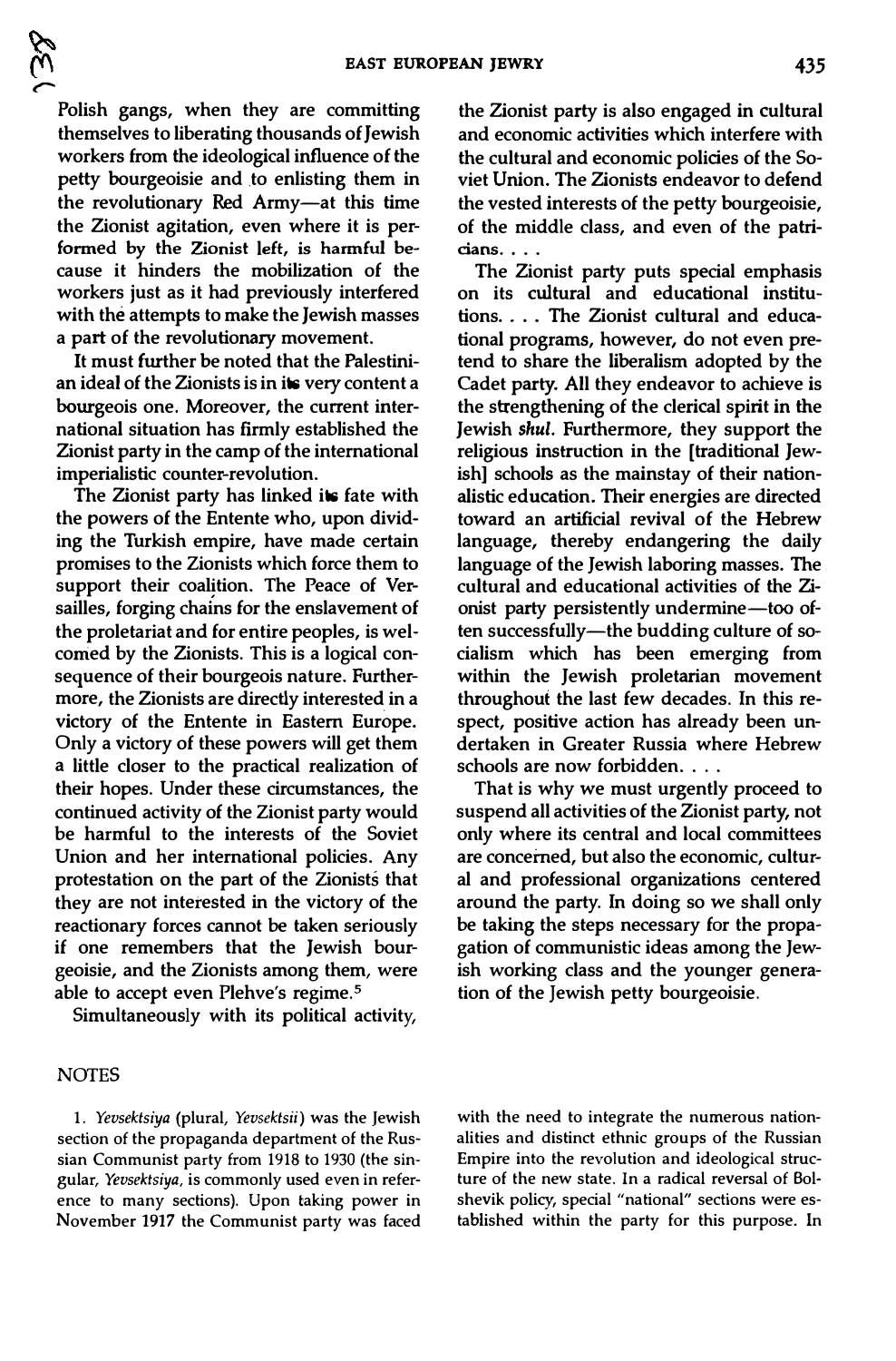**Polish gangs, when they are committing themselves to liberating thousands of Jewish workers from the ideological influence of the petty bourgeoisie and .to enlisting them in the revolutionary Red Army-at this time the Zionist agitation, even where it is performed by the Zionist left, is harmful because it hinders the mobilization of the workers just as it had previously interfered with the attempts to make the Jewish masses a part of the revolutionary movement.** 

*r-*

**It must further be noted that the Palestinian ideal of the Zionists is in its very content a bourgeois one. Moreover, the current international situation has firmly established the Zionist party in the camp of the international imperialistic counter-revolution.** 

**The Zionist party has linked its fate with the powers of the Entente who, upon dividing the Turkish empire, have made certain promises to the Zionists which force them to**  support their coalition. The Peace of Ver**sailles, forging chains for the enslavement of the proletariat and for entire peoples, is welcomed by the Zionists. This is a logical consequence of their bourgeois nature. Furthermore, the Zionists are directly interested in a victory of the Entente in Eastern Europe. Only a victory of these powers will get them a little closer to the practical realization of their hopes. Under these circumstances, the continued activity of the Zionist party would be harmful to the interests of the Soviet Union and her international policies. Any protestation on the part of the Zionists that they are not interested in the victory of the reactionary forces cannot be taken seriously if one remembers that the Jewish bourgeoisie, and the Zionists among them, were able to accept even Plehve's regime.<sup>5</sup>**

**Simultaneously with its political activity,** 

#### **NOTES**

1. *Yevsektsiya* (plural, *Yevsektsii)* was the Jewish section of the propaganda department of the Russian Communist party from 1918 to 1930 (the singular, *Yevsektsiya,* is commonly used even in reference to many sections). Upon taking power in November 1917 the Communist party was faced **the Zionist party is also engaged in cultural and economic activities which interfere with the cultural and economic policies of the Soviet Union. The Zionists endeavor to defend the vested interests of the petty bourgeoisie, of the middle class, and even of the patricians .. . .**

**The Zionist party puts special emphasis on its cultural and educational institutions .... The Zionist cultural and educational programs, however, do not even pretend to share the liberalism adopted by the Cadet party. All they endeavor to achieve is the strengthening of the clerical spirit in the Jewish** *shul.* **Furthermore, they support the religious instruction in the [traditional Jewish] schools as the mainstay of their nationalistic education. Their energies are directed toward an artificial revival of the Hebrew language, thereby endangering the daily language of the Jewish laboring masses. The cultural and educational activities of the Zionist party persistently undermine-too often successfully-the budding culture of socialism which has been emerging from within the Jewish proletarian movement throughout the last few decades. In this respect, positive action has already been undertaken in Greater Russia where Hebrew schools are now forbidden. . . .** 

**That is why we must urgently proceed to suspend all activities of the Zionist party, not only where its central and local committees are concerned, but also the economic, cultural and professional organizations centered around the party. In doing so we shall only be taking the steps necessary for the propagation of communistic ideas among the Jewish working class and the younger generation of the Jewish petty bourgeoisie.** 

with the need to integrate the numerous nationalities and distinct ethnic groups of the Russian Empire into the revolution and ideological structure of the new state. In a radical reversal of Bolshevik policy, special "national" sections were established within the party for this purpose. In